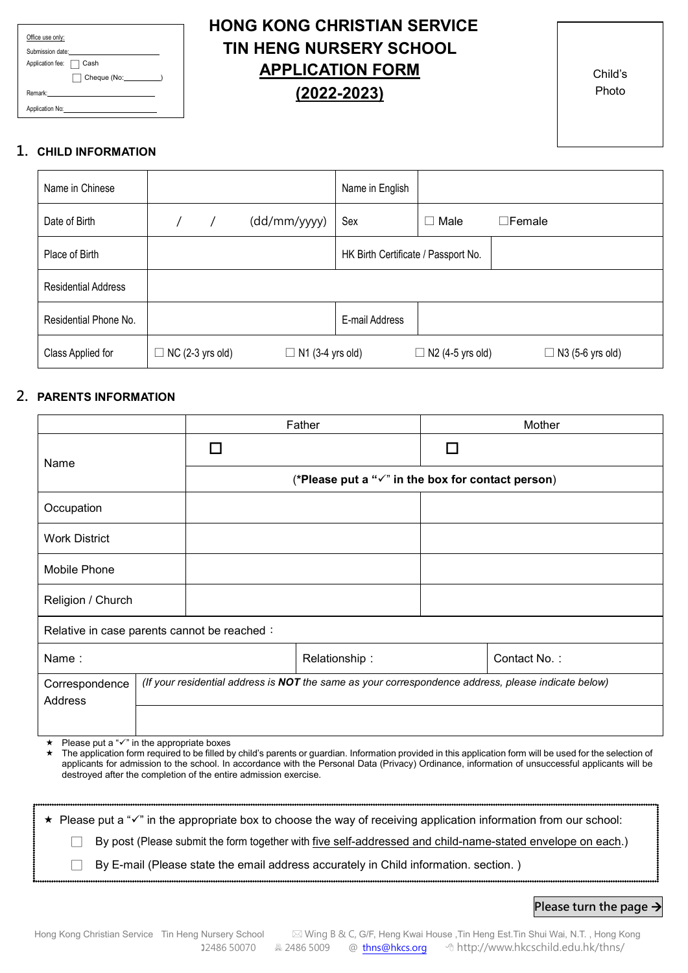| Office use only:                         |  |
|------------------------------------------|--|
| Submission date:                         |  |
| Application fee:<br>Cash<br>$\mathbf{L}$ |  |
|                                          |  |
| Remark:                                  |  |
| Application No:                          |  |

# **HONG KONG CHRISTIAN SERVICE TIN HENG NURSERY SCHOOL APPLICATION FORM (2022-2023)**

Child's Photo

#### **1. CHILD INFORMATION**

| Name in Chinese            |                         |                         | Name in English                     |                         |                         |
|----------------------------|-------------------------|-------------------------|-------------------------------------|-------------------------|-------------------------|
| Date of Birth              |                         | (dd/mm/yyyy)            | Sex                                 | Male<br>$\mathcal{L}$   | $\Box$ Female           |
| Place of Birth             |                         |                         | HK Birth Certificate / Passport No. |                         |                         |
| <b>Residential Address</b> |                         |                         |                                     |                         |                         |
| Residential Phone No.      |                         |                         | E-mail Address                      |                         |                         |
| Class Applied for          | $\Box$ NC (2-3 yrs old) | $\Box$ N1 (3-4 yrs old) |                                     | $\Box$ N2 (4-5 yrs old) | $\Box$ N3 (5-6 yrs old) |

#### **2. PARENTS INFORMATION**

|                                                          |  |                                                                | Father                                                                                              |     | Mother       |
|----------------------------------------------------------|--|----------------------------------------------------------------|-----------------------------------------------------------------------------------------------------|-----|--------------|
| Name                                                     |  | $\mathsf{L}$                                                   |                                                                                                     | l l |              |
|                                                          |  | (*Please put a " $\checkmark$ " in the box for contact person) |                                                                                                     |     |              |
| Occupation                                               |  |                                                                |                                                                                                     |     |              |
| <b>Work District</b>                                     |  |                                                                |                                                                                                     |     |              |
| Mobile Phone                                             |  |                                                                |                                                                                                     |     |              |
| Religion / Church                                        |  |                                                                |                                                                                                     |     |              |
| Relative in case parents cannot be reached:              |  |                                                                |                                                                                                     |     |              |
| Name:                                                    |  |                                                                | Relationship:                                                                                       |     | Contact No.: |
| Correspondence                                           |  |                                                                | (If your residential address is NOT the same as your correspondence address, please indicate below) |     |              |
| Address                                                  |  |                                                                |                                                                                                     |     |              |
|                                                          |  |                                                                |                                                                                                     |     |              |
| ★ Please put a " $\checkmark$ " in the appropriate boxes |  |                                                                |                                                                                                     |     |              |

\* The application form required to be filled by child's parents or guardian. Information provided in this application form will be used for the selection of applicants for admission to the school. In accordance with the Personal Data (Privacy) Ordinance, information of unsuccessful applicants will be destroyed after the completion of the entire admission exercise.

\* Please put a " $\checkmark$ " in the appropriate box to choose the way of receiving application information from our school: □ By post (Please submit the form together with five self-addressed and child-name-stated envelope on each.)  $\Box$  By E-mail (Please state the email address accurately in Child information. section.)

#### **Please turn the page**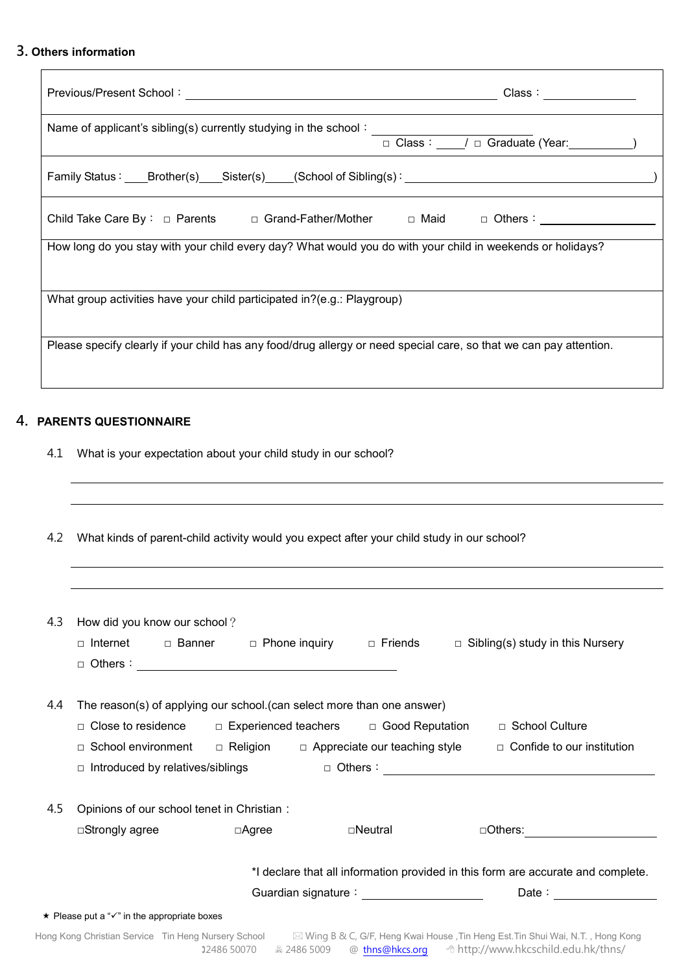## **3. Others information**

| Previous/Present School: www.communications.com/                                                                   | Class : ____________                        |
|--------------------------------------------------------------------------------------------------------------------|---------------------------------------------|
| Name of applicant's sibling(s) currently studying in the school:                                                   | □ Class: ____/ □ Graduate (Year: _________) |
| Family Status: ____Brother(s) ____Sister(s) ____(School of Sibling(s): ___________________________________         |                                             |
| Child Take Care By : □ Parents □ Grand-Father/Mother □ Maid □ Others : __________                                  |                                             |
| How long do you stay with your child every day? What would you do with your child in weekends or holidays?         |                                             |
| What group activities have your child participated in?(e.g.: Playgroup)                                            |                                             |
| Please specify clearly if your child has any food/drug allergy or need special care, so that we can pay attention. |                                             |
|                                                                                                                    |                                             |

### **4. PARENTS QUESTIONNAIRE**

4.1 What is your expectation about your child study in our school?

| 4.3 | How did you know our school?                                                                                                                                                                                                                                                                                                                     |
|-----|--------------------------------------------------------------------------------------------------------------------------------------------------------------------------------------------------------------------------------------------------------------------------------------------------------------------------------------------------|
|     | □ Internet<br>□ Banner □ Phone inquiry □ Friends<br>$\Box$ Sibling(s) study in this Nursery                                                                                                                                                                                                                                                      |
|     |                                                                                                                                                                                                                                                                                                                                                  |
|     |                                                                                                                                                                                                                                                                                                                                                  |
| 4.4 | The reason(s) of applying our school. (can select more than one answer)                                                                                                                                                                                                                                                                          |
|     | □ School Culture                                                                                                                                                                                                                                                                                                                                 |
|     | □ School environment □ Religion □ Appreciate our teaching style<br>$\Box$ Confide to our institution                                                                                                                                                                                                                                             |
|     | $\Box$ Introduced by relatives/siblings                                                                                                                                                                                                                                                                                                          |
| 4.5 | Opinions of our school tenet in Christian:                                                                                                                                                                                                                                                                                                       |
|     | □Strongly agree<br>□Agree<br>⊡Neutral<br>$\Box$ Others: $\qquad \qquad \boxed{\qquad \qquad }$                                                                                                                                                                                                                                                   |
|     | *I declare that all information provided in this form are accurate and complete.                                                                                                                                                                                                                                                                 |
|     | Guardian signature: William Contract Contract Contract Contract Contract Contract Contract Contract Contract C<br>Date: the contract of the contract of the contract of the contract of the contract of the contract of the contract of the contract of the contract of the contract of the contract of the contract of the contract of the cont |
|     | ★ Please put a "v" in the appropriate boxes                                                                                                                                                                                                                                                                                                      |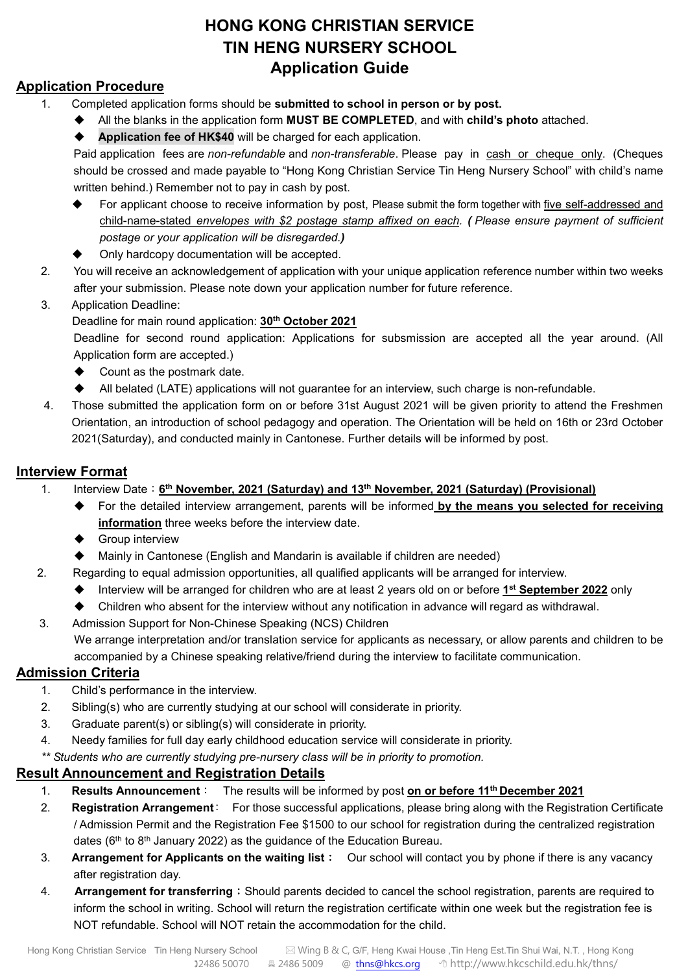# **HONG KONG CHRISTIAN SERVICE TIN HENG NURSERY SCHOOL Application Guide**

# **Application Procedure**

- 1. Completed application forms should be **submitted to school in person or by post.**
	- All the blanks in the application form **MUST BE COMPLETED**, and with **child's photo** attached.
	- **Application fee of HK\$40** will be charged for each application.

Paid application fees are *non-refundable* and *non-transferable*. Please pay in cash or cheque only. (Cheques should be crossed and made payable to "Hong Kong Christian Service Tin Heng Nursery School" with child's name written behind.) Remember not to pay in cash by post.

- For applicant choose to receive information by post, Please submit the form together with five self-addressed and child-name-stated *envelopes with \$2 postage stamp affixed on each. ( Please ensure payment of sufficient postage or your application will be disregarded.)*
- Only hardcopy documentation will be accepted.
- 2. You will receive an acknowledgement of application with your unique application reference number within two weeks after your submission. Please note down your application number for future reference.

### 3. Application Deadline:

Deadline for main round application: **30th October 2021**

Deadline for second round application: Applications for subsmission are accepted all the year around. (All Application form are accepted.)

- ◆ Count as the postmark date.
- All belated (LATE) applications will not guarantee for an interview, such charge is non-refundable.
- 4. Those submitted the application form on or before 31st August 2021 will be given priority to attend the Freshmen Orientation, an introduction of school pedagogy and operation. The Orientation will be held on 16th or 23rd October 2021(Saturday), and conducted mainly in Cantonese. Further details will be informed by post.

## **Interview Format**

- 1. Interview Date:**6th November, 2021 (Saturday) and 13th November, 2021 (Saturday) (Provisional)**
	- For the detailed interview arrangement, parents will be informed **by the means you selected for receiving information** three weeks before the interview date.
	- **←** Group interview
	- Mainly in Cantonese (English and Mandarin is available if children are needed)
- 2. Regarding to equal admission opportunities, all qualified applicants will be arranged for interview.
	- Interview will be arranged for children who are at least 2 years old on or before **1st September 2022** only
	- Children who absent for the interview without any notification in advance will regard as withdrawal.
- 3. Admission Support for Non-Chinese Speaking (NCS) Children We arrange interpretation and/or translation service for applicants as necessary, or allow parents and children to be accompanied by a Chinese speaking relative/friend during the interview to facilitate communication.

# **Admission Criteria**

- 1. Child's performance in the interview.
- 2. Sibling(s) who are currently studying at our school will considerate in priority.
- 3. Graduate parent(s) or sibling(s) will considerate in priority.
- 4. Needy families for full day early childhood education service will considerate in priority.

*\*\* Students who are currently studying pre-nursery class will be in priority to promotion.*

### **Result Announcement and Registration Details**

- 1. **Results Announcement**: The results will be informed by post **on or before 11th December 2021**
- 2. **Registration Arrangement**: For those successful applications, please bring along with the Registration Certificate / Admission Permit and the Registration Fee \$1500 to our school for registration during the centralized registration dates (6th to 8th January 2022) as the guidance of the Education Bureau.
- 3. **Arrangement for Applicants on the waiting list**:Our school will contact you by phone if there is any vacancy after registration day.
- 4. **Arrangement for transferring**:Should parents decided to cancel the school registration, parents are required to inform the school in writing. School will return the registration certificate within one week but the registration fee is NOT refundable. School will NOT retain the accommodation for the child.